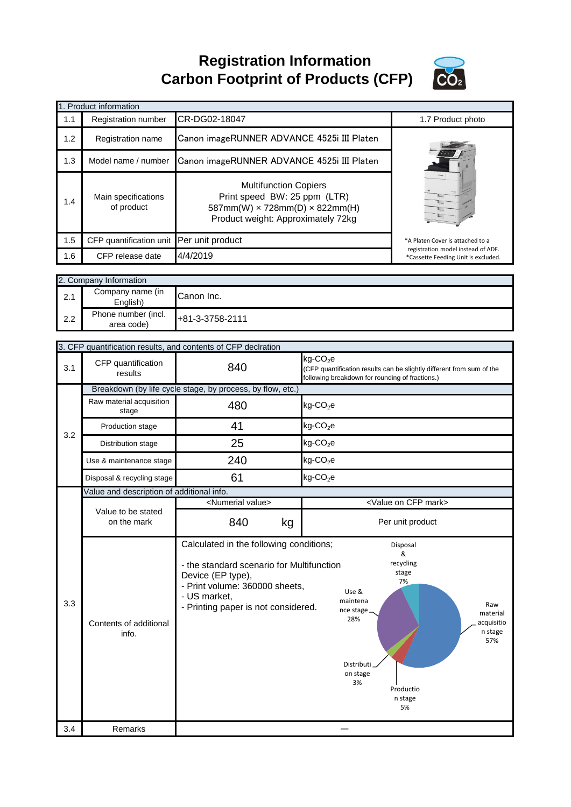**Registration Information Carbon Footprint of Products (CFP)**



|     | 1. Product information                     |                                                                                                                                                                                                    |                                                                       |                                                                                                                            |
|-----|--------------------------------------------|----------------------------------------------------------------------------------------------------------------------------------------------------------------------------------------------------|-----------------------------------------------------------------------|----------------------------------------------------------------------------------------------------------------------------|
| 1.1 | Registration number                        | CR-DG02-18047                                                                                                                                                                                      |                                                                       | 1.7 Product photo                                                                                                          |
| 1.2 | Registration name                          | Canon imageRUNNER ADVANCE 4525i III Platen                                                                                                                                                         |                                                                       |                                                                                                                            |
| 1.3 | Model name / number                        | Canon imageRUNNER ADVANCE 4525i III Platen                                                                                                                                                         |                                                                       |                                                                                                                            |
| 1.4 | Main specifications<br>of product          | <b>Multifunction Copiers</b><br>Print speed BW: 25 ppm (LTR)<br>587mm(W) $\times$ 728mm(D) $\times$ 822mm(H)<br>Product weight: Approximately 72kg                                                 |                                                                       |                                                                                                                            |
| 1.5 | CFP quantification unit                    | Per unit product                                                                                                                                                                                   |                                                                       | *A Platen Cover is attached to a                                                                                           |
| 1.6 | CFP release date                           | 4/4/2019                                                                                                                                                                                           |                                                                       | registration model instead of ADF.<br>*Cassette Feeding Unit is excluded.                                                  |
|     |                                            |                                                                                                                                                                                                    |                                                                       |                                                                                                                            |
|     | 2. Company Information<br>Company name (in |                                                                                                                                                                                                    |                                                                       |                                                                                                                            |
| 2.1 | English)                                   | Canon Inc.                                                                                                                                                                                         |                                                                       |                                                                                                                            |
| 2.2 | Phone number (incl.<br>area code)          | +81-3-3758-2111                                                                                                                                                                                    |                                                                       |                                                                                                                            |
|     |                                            | 3. CFP quantification results, and contents of CFP declration                                                                                                                                      |                                                                       |                                                                                                                            |
|     |                                            |                                                                                                                                                                                                    | $kg$ -CO <sub>2</sub> e                                               |                                                                                                                            |
| 3.1 | CFP quantification<br>results              | 840                                                                                                                                                                                                | following breakdown for rounding of fractions.)                       | (CFP quantification results can be slightly different from sum of the                                                      |
|     |                                            | Breakdown (by life cycle stage, by process, by flow, etc.)                                                                                                                                         |                                                                       |                                                                                                                            |
|     | Raw material acquisition<br>stage          | 480                                                                                                                                                                                                | $kg$ -CO <sub>2</sub> e                                               |                                                                                                                            |
|     | Production stage                           | 41                                                                                                                                                                                                 | $kg$ -CO <sub>2</sub> e                                               |                                                                                                                            |
| 3.2 | Distribution stage                         | 25                                                                                                                                                                                                 | $kg$ -CO <sub>2</sub> e                                               |                                                                                                                            |
|     | Use & maintenance stage                    | 240                                                                                                                                                                                                | $kg$ -CO <sub>2</sub> e                                               |                                                                                                                            |
|     | Disposal & recycling stage                 | 61                                                                                                                                                                                                 | $kg$ -CO <sub>2</sub> e                                               |                                                                                                                            |
|     | Value and description of additional info.  |                                                                                                                                                                                                    |                                                                       |                                                                                                                            |
|     | Value to be stated                         | <numerial value=""></numerial>                                                                                                                                                                     |                                                                       | <value cfp="" mark="" on=""></value>                                                                                       |
|     | on the mark                                | 840<br>kg                                                                                                                                                                                          |                                                                       | Per unit product                                                                                                           |
| 3.3 | Contents of additional<br>info.            | Calculated in the following conditions;<br>- the standard scenario for Multifunction<br>Device (EP type),<br>- Print volume: 360000 sheets,<br>- US market,<br>- Printing paper is not considered. | Use &<br>maintena<br>nce stage<br>28%<br>Distributi<br>on stage<br>3% | Disposal<br>&<br>recycling<br>stage<br>7%<br>Raw<br>material<br>acquisitio<br>n stage<br>57%<br>Productio<br>n stage<br>5% |
| 3.4 | Remarks                                    |                                                                                                                                                                                                    |                                                                       |                                                                                                                            |